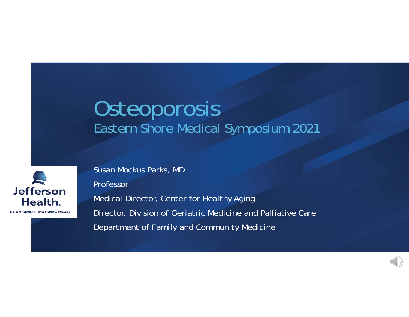## **Osteoporosis** *Eastern Shore Medical Symposium 2021*



HOME OF SIDNEY KIMMEL MEDICAL COLLEGE

ProfessorMedical Director, Center for Healthy Aging Director, Division of Geriatric Medicine and Palliative Care Department of Family and Community Medicine

Susan Mockus Parks, MD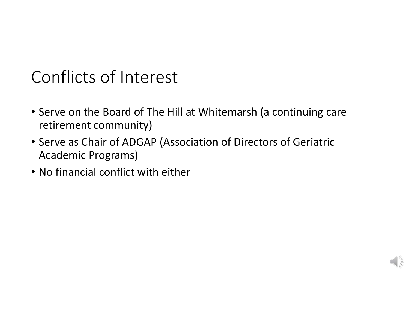# Conflicts of Interest

- Serve on the Board of The Hill at Whitemarsh (a continuing care retirement community)
- Serve as Chair of ADGAP (Association of Directors of Geriatric Academic Programs)
- No financial conflict with either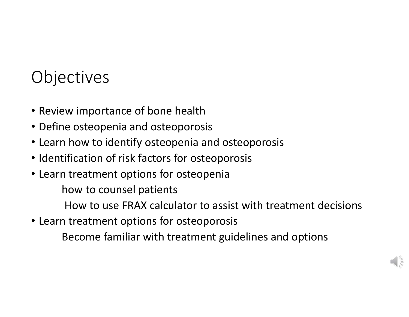## **Objectives**

- Review importance of bone health
- Define osteopenia and osteoporosis
- Learn how to identify osteopenia and osteoporosis
- Identification of risk factors for osteoporosis
- Learn treatment options for osteopenia

how to counsel patients

How to use FRAX calculator to assist with treatment decisions

• Learn treatment options for osteoporosis

Become familiar with treatment guidelines and options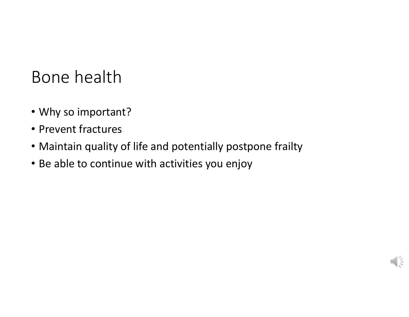# Bone health

- Why so important?
- Prevent fractures
- Maintain quality of life and potentially postpone frailty
- Be able to continue with activities you enjoy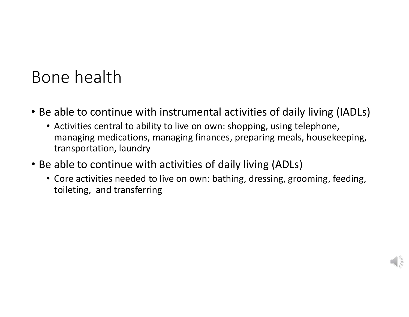# Bone health

- Be able to continue with instrumental activities of daily living (IADLs)
	- Activities central to ability to live on own: shopping, using telephone, managing medications, managing finances, preparing meals, housekeeping, transportation, laundry
- Be able to continue with activities of daily living (ADLs)
	- Core activities needed to live on own: bathing, dressing, grooming, feeding, toileting, and transferring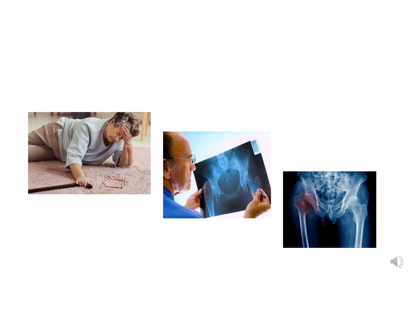





 $\frac{1}{2}\left|\frac{\partial}{\partial x}\right|$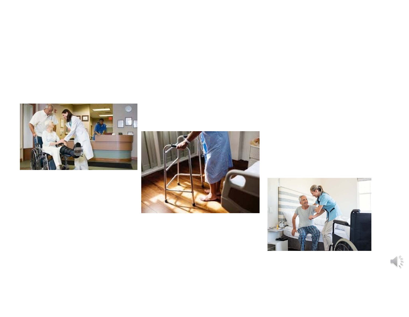



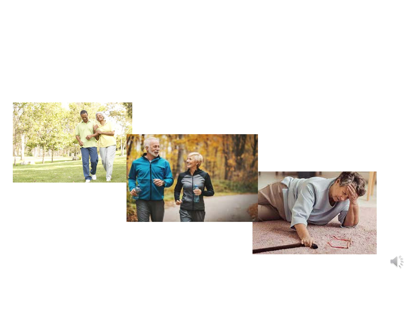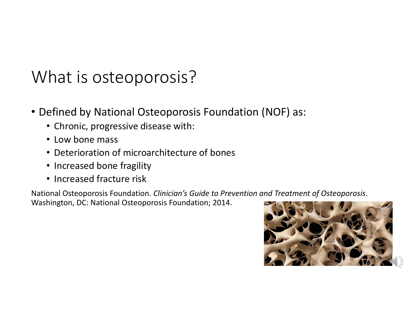# What is osteoporosis?

- Defined by National Osteoporosis Foundation (NOF) as:
	- Chronic, progressive disease with:
	- Low bone mass
	- Deterioration of microarchitecture of bones
	- Increased bone fragility
	- Increased fracture risk

National Osteoporosis Foundation. *Clinician's Guide to Prevention and Treatment of Osteoporosis*. Washington, DC: National Osteoporosis Foundation; 2014.

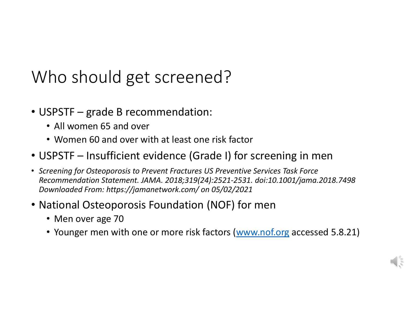# Who should get screened?

- USPSTF grade B recommendation:
	- All women 65 and over
	- Women 60 and over with at least one risk factor
- USPSTF Insufficient evidence (Grade I) for screening in men
- *Screening for Osteoporosis to Prevent Fractures US Preventive Services Task Force Recommendation Statement. JAMA. 2018;319(24):2521‐2531. doi:10.1001/jama.2018.7498 Downloaded From: https://jamanetwork.com/ on 05/02/2021*
- National Osteoporosis Foundation (NOF) for men
	- Men over age 70
	- Younger men with one or more risk factors (www.nof.org accessed 5.8.21)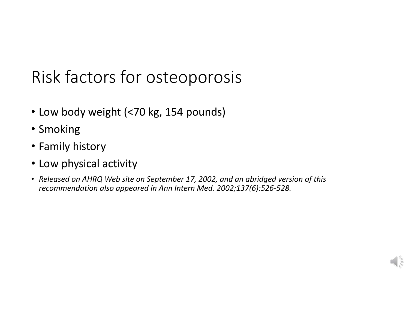# Risk factors for osteoporosis

- Low body weight (<70 kg, 154 pounds)
- Smoking
- Family history
- Low physical activity
- *Released on AHRQ Web site on September 17, 2002, and an abridged version of this recommendation also appeared in Ann Intern Med. 2002;137(6):526‐528.*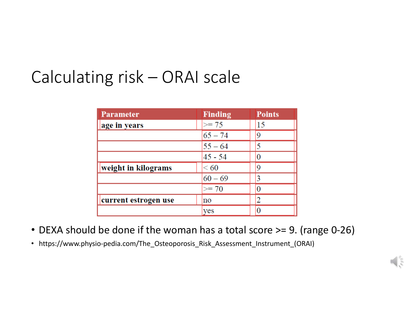# Calculating risk – ORAI scale

| Parameter            | <b>Finding</b> | <b>Points</b> |
|----------------------|----------------|---------------|
| age in years         | $>= 75$        | 15            |
|                      | $65 - 74$      | Q             |
|                      | $55 - 64$      |               |
|                      | $45 - 54$      |               |
| weight in kilograms  | < 60           | 9             |
|                      | $60 - 69$      |               |
|                      | $>= 70$        |               |
| current estrogen use | no             | 2             |
|                      | ves            |               |

- DEXA should be done if the woman has a total score >= 9. (range 0‐26)
- https://www.physio‐pedia.com/The\_Osteoporosis\_Risk\_Assessment\_Instrument\_(ORAI)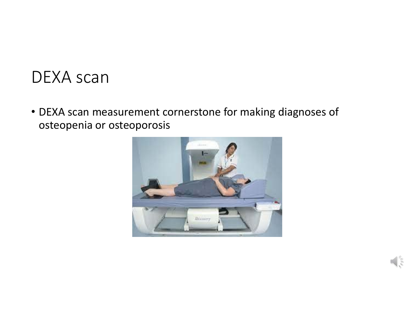#### DEXA scan

• DEXA scan measurement cornerstone for making diagnoses of osteopenia or osteoporosis

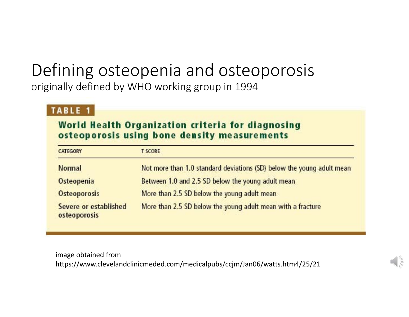#### Defining osteopenia and osteoporosis originally defined by WHO working group in 1994

#### TABLE 1

#### World Health Organization criteria for diagnosing osteoporosis using bone density measurements

| <b>CATEGORY</b>                       | <b>T SCORE</b>                                                        |  |
|---------------------------------------|-----------------------------------------------------------------------|--|
| <b>Normal</b>                         | Not more than 1.0 standard deviations (SD) below the young adult mean |  |
| Osteopenia                            | Between 1.0 and 2.5 SD below the young adult mean                     |  |
| <b>Osteoporosis</b>                   | More than 2.5 SD below the young adult mean                           |  |
| Severe or established<br>osteoporosis | More than 2.5 SD below the young adult mean with a fracture           |  |

image obtained from https://www.clevelandclinicmeded.com/medicalpubs/ccjm/Jan06/watts.htm4/25/21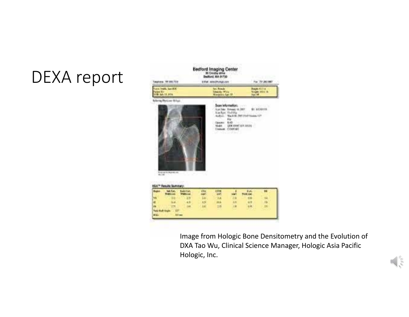# DEXA report

| Tweetway, 195 and 1988                                                                                                                                                         | EMal Anni Polygome                                                                                                                                                                                                                         | <b>TELEDIA</b><br>For 711-801007                    |
|--------------------------------------------------------------------------------------------------------------------------------------------------------------------------------|--------------------------------------------------------------------------------------------------------------------------------------------------------------------------------------------------------------------------------------------|-----------------------------------------------------|
| Land Trails, Tax DOC-<br><b>News Barriott</b><br><b>STAR Auto 10, 1974</b>                                                                                                     | to, Frade<br><b>Theory William</b><br>Ministers for 12                                                                                                                                                                                     | <b>Plyment AT 7 in</b><br>Vegle limit &             |
| <b>Baltiming Physician (Billiga)</b>                                                                                                                                           | Doger hills murdions<br>-Scatching, Telescop 18, 2007.<br>Are Fam. Outfiller.<br>Analysis Markets, Statute Communication<br>dia.<br>Opening RAD College<br>DER KRAS (NR ANDR)<br>Models 1<br>Elizabeth (10x014)<br><b>ALCOHOL: AND ART</b> | 1,850.88                                            |
| Students in August 24.<br><b>BELLINGTON COMPANY</b>                                                                                                                            |                                                                                                                                                                                                                                            |                                                     |
| Christian More Corp.<br><b>HEAT Results Summary.</b><br><b>Digital</b><br><b>Look Card</b><br><b>The House</b><br><b>Distances</b><br>7. P. T<br>--<br>an.<br>1×<br><b>ALL</b> | 5338<br><b>EXIST</b><br>н<br>and in<br>man.<br>a in th<br>Шŕ<br>3.81<br>4.88                                                                                                                                                               | <b>Book</b><br>ш<br><b>The Rental</b><br>福田<br>4.69 |

Image from Hologic Bone Densitometry and the Evolution of DXA Tao Wu, Clinical Science Manager, Hologic Asia Pacific Hologic, Inc.

 $\sum_{i=1}^{n}$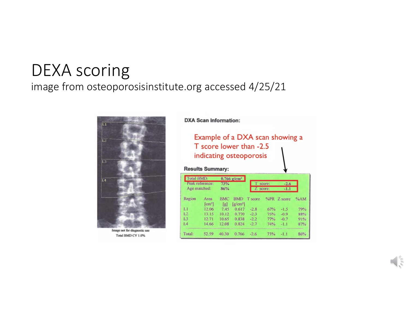#### DEXA scoring image from osteoporosisinstitute.org accessed 4/25/21



Image not for diagnostic use Total BMD CV 1.0%

**DXA Scan Information:** 

#### Example of a DXA scan showing a T score lower than -2.5 indicating osteoporosis

#### **Results Summary:**

| Total BMD:     |                    |                     | $0.766$ g/cm <sup>2</sup>      |         |                    |                  |     |
|----------------|--------------------|---------------------|--------------------------------|---------|--------------------|------------------|-----|
| Age matched:   | Peak reference:    | 73%<br>86%          |                                |         | score:<br>Z score: | $-2.6$<br>$-1.1$ |     |
|                |                    |                     |                                |         |                    |                  |     |
| Region         | Area               | <b>BMC</b>          | <b>BMD</b>                     | T score |                    | %PR Z score      | %AM |
|                | [cm <sup>2</sup> ] | $\lbrack 2 \rbrack$ | $\lceil \frac{g}{cm^2} \rceil$ |         |                    |                  |     |
| LI             | 12.06              | 7.45                | 0.617                          | $-2.8$  | 67%                | $-1.5$           | 79% |
| L2             | 13.15              | 10.12               | 0.770                          | $-2.3$  | 75%                | $-0.9$           | 88% |
| L <sub>3</sub> | 12.71              | 10.65               | 0.838                          | $-2.2$  | 77%                | $-0.7$           | 91% |
| L4             | 14.66              | 12.08               | 0.824                          | $-2.7$  | 74%                | $-1.1$           | 87% |
| Total:         | 52.59              | 40.30               | 0.766                          | $-2.6$  | 73%                | -1.1             | 86% |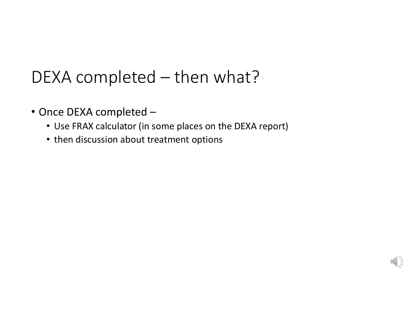# DEXA completed – then what?

- Once DEXA completed
	- Use FRAX calculator (in some places on the DEXA report)
	- then discussion about treatment options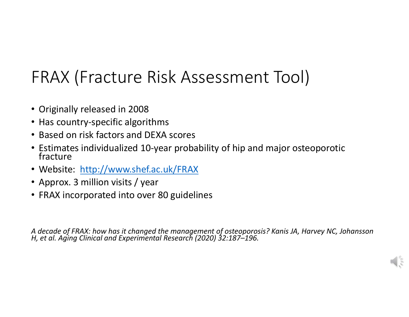# FRAX (Fracture Risk Assessment Tool)

- Originally released in 2008
- Has country‐specific algorithms
- Based on risk factors and DEXA scores
- Estimates individualized 10‐year probability of hip and major osteoporotic fracture
- Website: http://www.shef.ac.uk/FRAX
- Approx. 3 million visits / year
- FRAX incorporated into over 80 guidelines

*A decade of FRAX: how has it changed the management of osteoporosis? Kanis JA, Harvey NC, Johansson H, et al. Aging Clinical and Experimental Research (2020) 32:187–196.*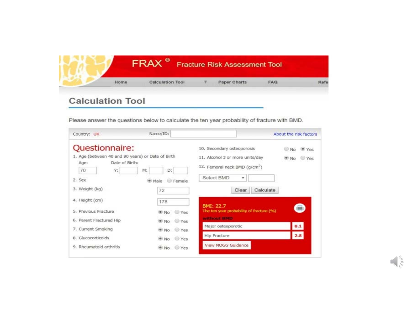

Please answer the questions below to calculate the ten year probability of fracture with BMD.

| Country: UK                                                                                                         | Name/ID:                                       |                                                                                                                               | About the risk factors                               |
|---------------------------------------------------------------------------------------------------------------------|------------------------------------------------|-------------------------------------------------------------------------------------------------------------------------------|------------------------------------------------------|
| Questionnaire:<br>1. Age (between 40 and 90 years) or Date of Birth<br>Date of Birth:<br>Age:<br>70<br>Y:<br>2. Sex | M:<br>D:<br><b>Female</b><br><sup>o</sup> Male | 10. Secondary osteoporosis<br>11. Alcohol 3 or more units/day<br>12. Femoral neck BMD (g/cm <sup>2</sup> )<br>Select BMD<br>۰ | Mo<br><sup>O</sup> Yes<br><b>Yes</b><br>$\bullet$ No |
| 3. Weight (kg)                                                                                                      | 72                                             | Calculate<br>Clear                                                                                                            |                                                      |
| 4. Height (cm)                                                                                                      | 178                                            | BMI: 22.7                                                                                                                     |                                                      |
| 5. Previous Fracture                                                                                                | No Yes                                         | The ten year probability of fracture (%)                                                                                      |                                                      |
| 6. Parent Fractured Hip                                                                                             | No Yes                                         | <b>Wilthout BMD</b>                                                                                                           |                                                      |
| 7. Current Smoking                                                                                                  | No Yes                                         | Major osteoporotic                                                                                                            | 8.1                                                  |
| 8. Glucocorticoids                                                                                                  | ■ No Yes                                       | Hip Fracture                                                                                                                  | 2.8                                                  |
| 9. Rheumatoid arthritis                                                                                             | ● No → Yes                                     | View NOGG Guidance                                                                                                            |                                                      |

 $\frac{1}{2}$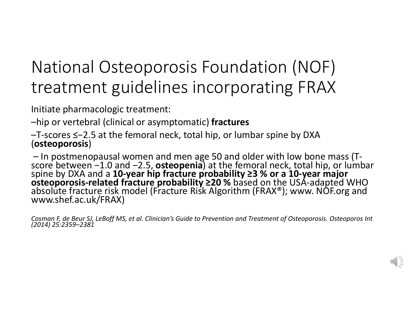# National Osteoporosis Foundation (NOF) treatment guidelines incorporating FRAX

Initiate pharmacologic treatment:

–hip or vertebral (clinical or asymptomatic) **fractures** 

–T‐scores ≤−2.5 at the femoral neck, total hip, or lumbar spine by DXA (**osteoporosis**)

– In postmenopausal women and men age 50 and older with low bone mass (T-<br>score between –1.0 and –2.5, **osteopenia**) at the femoral neck, total hip, or lumbar<br>spine by DXA and a **10-year hip fracture probability ≥3 % or a** 

*Cosman F, de Beur SJ, LeBoff MS, et al. Clinician's Guide to Prevention and Treatment of Osteoporosis. Osteoporos Int (2014) 25:2359–2381*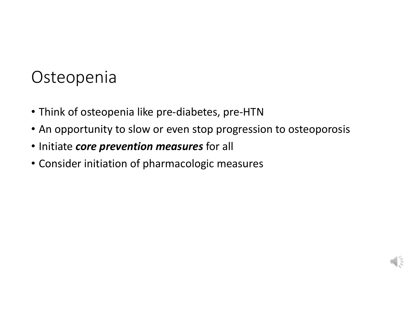#### **Osteopenia**

- Think of osteopenia like pre‐diabetes, pre‐HTN
- An opportunity to slow or even stop progression to osteoporosis
- Initiate *core prevention measures* for all
- Consider initiation of pharmacologic measures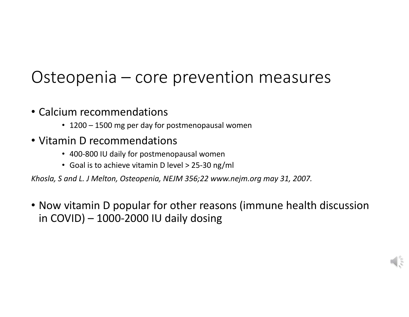- Calcium recommendations
	- 1200 1500 mg per day for postmenopausal women
- Vitamin D recommendations
	- 400‐800 IU daily for postmenopausal women
	- Goal is to achieve vitamin D level > 25‐30 ng/ml

*Khosla, S and L. J Melton, Osteopenia, NEJM 356;22 www.nejm.org may 31, 2007.*

• Now vitamin D popular for other reasons (immune health discussion in COVID) – 1000‐2000 IU daily dosing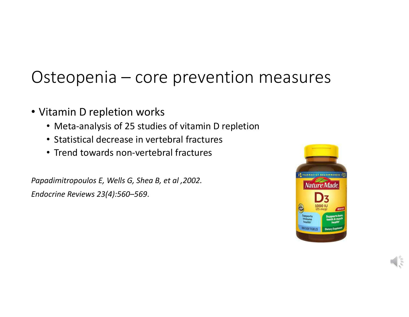- Vitamin D repletion works
	- Meta‐analysis of 25 studies of vitamin D repletion
	- Statistical decrease in vertebral fractures
	- Trend towards non‐vertebral fractures

*Papadimitropoulos E, Wells G, Shea B, et al ,2002. Endocrine Reviews 23(4):560–569*.

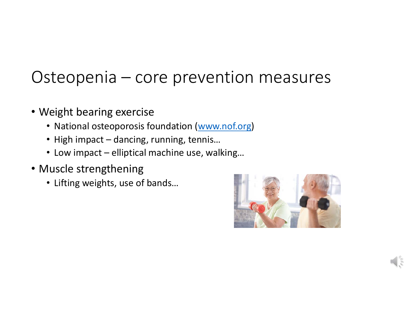- Weight bearing exercise
	- National osteoporosis foundation (www.nof.org)
	- High impact dancing, running, tennis…
	- Low impact elliptical machine use, walking…
- Muscle strengthening
	- Lifting weights, use of bands…

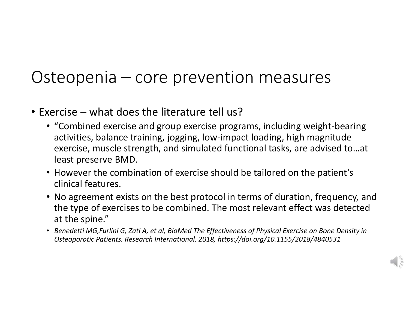- Exercise what does the literature tell us?
	- "Combined exercise and group exercise programs, including weight‐bearing activities, balance training, jogging, low‐impact loading, high magnitude exercise, muscle strength, and simulated functional tasks, are advised to…at least preserve BMD.
	- However the combination of exercise should be tailored on the patient's clinical features.
	- No agreement exists on the best protocol in terms of duration, frequency, and the type of exercises to be combined. The most relevant effect was detected at the spine."
	- *Benedetti MG,Furlini G, Zati A, et al, BioMed The Effectiveness of Physical Exercise on Bone Density in Osteoporotic Patients. Research International. 2018, https://doi.org/10.1155/2018/4840531*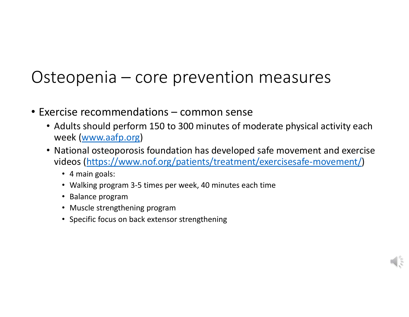- Exercise recommendations common sense
	- Adults should perform 150 to 300 minutes of moderate physical activity each week (www.aafp.org)
	- National osteoporosis foundation has developed safe movement and exercise videos (https://www.nof.org/patients/treatment/exercisesafe‐movement/)
		- 4 main goals:
		- Walking program 3‐5 times per week, 40 minutes each time
		- Balance program
		- Muscle strengthening program
		- Specific focus on back extensor strengthening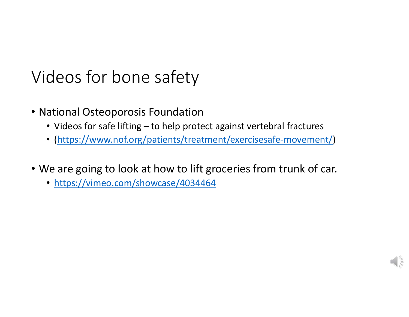#### Videos for bone safety

- National Osteoporosis Foundation
	- Videos for safe lifting to help protect against vertebral fractures
	- (https://www.nof.org/patients/treatment/exercisesafe‐movement/)
- We are going to look at how to lift groceries from trunk of car.
	- https://vimeo.com/showcase/4034464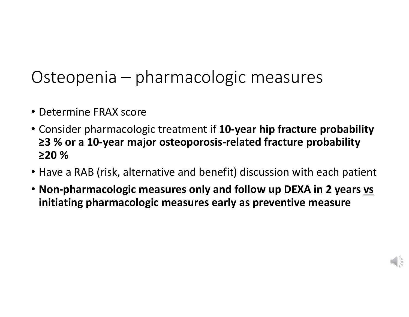# Osteopenia – pharmacologic measures

- Determine FRAX score
- Consider pharmacologic treatment if **10‐year hip fracture probability ≥3 % or a 10‐year major osteoporosis‐related fracture probability ≥20 %**
- Have a RAB (risk, alternative and benefit) discussion with each patient
- **Non‐pharmacologic measures only and follow up DEXA in 2 years v s initiating pharmacologic measures early as preventive measure**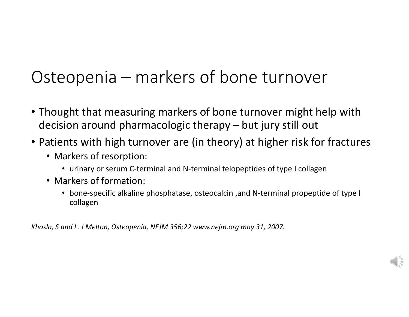### Osteopenia – markers of bone turnover

- Thought that measuring markers of bone turnover might help with decision around pharmacologic therapy – but jury still out
- Patients with high turnover are (in theory) at higher risk for fractures
	- Markers of resorption:
		- urinary or serum C-terminal and N-terminal telopeptides of type I collagen
	- Markers of formation:
		- bone-specific alkaline phosphatase, osteocalcin ,and N-terminal propeptide of type I collagen

*Khosla, S and L. J Melton, Osteopenia, NEJM 356;22 www.nejm.org may 31, 2007.*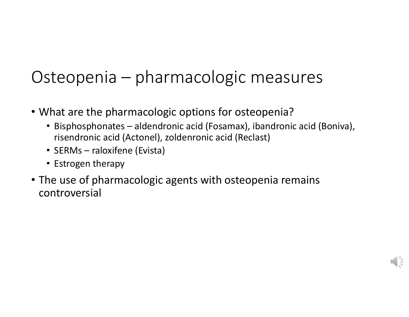# Osteopenia – pharmacologic measures

- What are the pharmacologic options for osteopenia?
	- Bisphosphonates aldendronic acid (Fosamax), ibandronic acid (Boniva), risendronic acid (Actonel), zoldenronic acid (Reclast)
	- SERMs raloxifene (Evista)
	- Estrogen therapy
- The use of pharmacologic agents with osteopenia remains controversial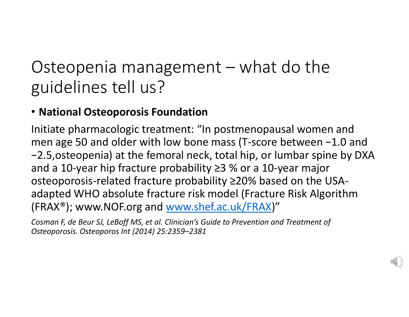# Osteopenia management – what do the guidelines tell us?

#### • **National Osteoporosis Foundation**

Initiate pharmacologic treatment: "In postmenopausal women and men age 50 and older with low bone mass (T‐score between −1.0 and −2.5,osteopenia) at the femoral neck, total hip, or lumbar spine by DXA and a 10‐year hip fracture probability ≥3 % or a 10‐year major osteoporosis‐related fracture probability ≥20% based on the USA ‐ adapted WHO absolute fracture risk model (Fracture Risk Algorithm (FRAX®); www.NOF.org and www.shef.ac.uk/FRAX)"

*Cosman F, de Beur SJ, LeBoff MS, et al. Clinician's Guide to Prevention and Treatment of Osteoporosis. Osteoporos Int (2014) 25:2359–2381*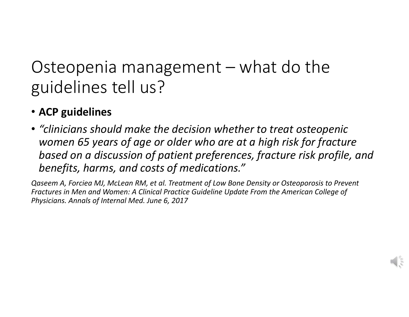# Osteopenia management – what do the guidelines tell us?

- **ACP guidelines**
- *"clinicians should make the decision whether to treat osteopeni c women 65 years of age or older who are at a high risk for fracture based on a discussion of patient preferences, fracture risk profile, and benefits, harms, and costs of medications."*

*Qaseem A, Forciea MJ, McLean RM, et al. Treatment of Low Bone Density or Osteoporosis to Prevent Fractures in Men and Women: A Clinical Practice Guideline Update From the American College of Physicians. Annals of Internal Med. June 6, 2017*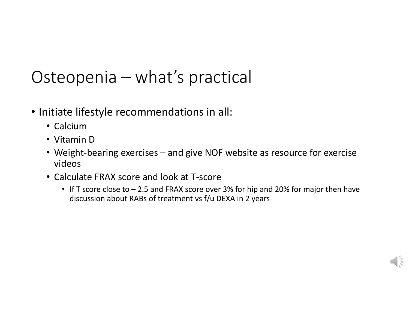# Osteopenia – what's practical

- Initiate lifestyle recommendations in all:
	- Calcium
	- Vitamin D
	- Weight-bearing exercises and give NOF website as resource for exercise videos
	- Calculate FRAX score and look at T‐score
		- If T score close to 2.5 and FRAX score over 3% for hip and 20% for major then have discussion about RABs of treatment vs f/u DEXA in 2 years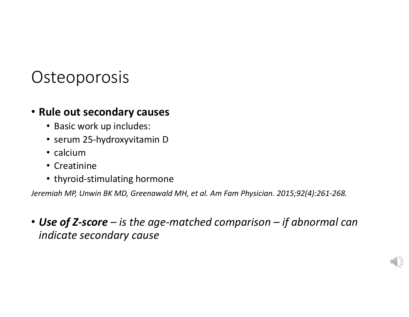#### **Osteoporosis**

#### • **Rule out secondary causes**

- Basic work up includes:
- serum 25‐hydroxyvitamin D
- calcium
- Creatinine
- thyroid‐stimulating hormone

*Jeremiah MP, Unwin BK MD, Greenawald MH, et al. Am Fam Physician. 2015;92(4):261‐268.* 

#### • *Use of Z‐score – is the age‐matched comparison – if abnormal can indicate secondary cause*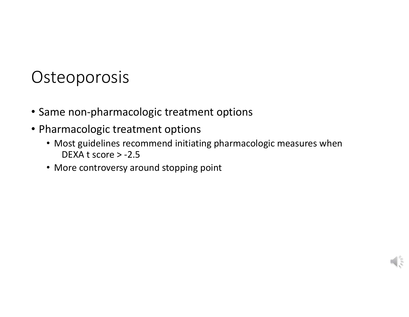#### **Osteoporosis**

- Same non‐pharmacologic treatment options
- Pharmacologic treatment options
	- Most guidelines recommend initiating pharmacologic measures when DEXA t score > ‐2.5
	- More controversy around stopping point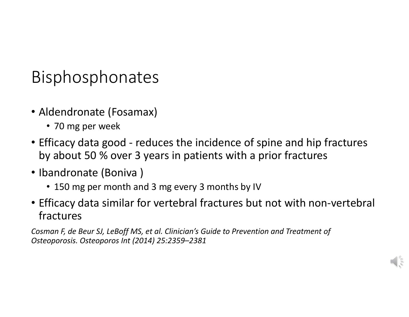## Bisphosphonates

- Aldendronate (Fosamax)
	- 70 mg per week
- Efficacy data good ‐ reduces the incidence of spine and hip fractures by about 50 % over 3 years in patients with a prior fractures
- Ibandronate (Boniva )
	- 150 mg per month and 3 mg every 3 months by IV
- Efficacy data similar for vertebral fractures but not with non‐vertebral fractures

*Cosman F, de Beur SJ, LeBoff MS, et al. Clinician's Guide to Prevention and Treatment of Osteoporosis. Osteoporos Int (2014) 25:2359–2381*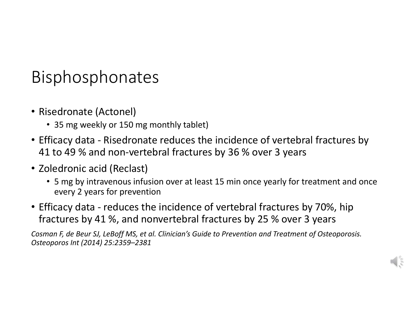#### Bisphosphonates

- Risedronate (Actonel)
	- 35 mg weekly or 150 mg monthly tablet)
- Efficacy data ‐ Risedronate reduces the incidence of vertebral fractures by 41 to 49 % and non‐vertebral fractures by 36 % over 3 years
- Zoledronic acid (Reclast)
	- 5 mg by intravenous infusion over at least 15 min once yearly for treatment and once every 2 years for prevention
- Efficacy data ‐ reduces the incidence of vertebral fractures by 70%, hip fractures by 41 %, and nonvertebral fractures by 25 % over 3 years

*Cosman F, de Beur SJ, LeBoff MS, et al. Clinician's Guide to Prevention and Treatment of Osteoporosis. Osteoporos Int (2014) 25:2359–2381*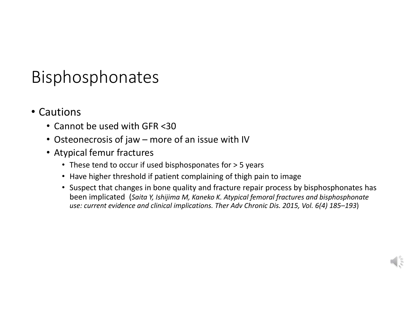#### Bisphosphonates

- Cautions
	- Cannot be used with GFR <30
	- Osteonecrosis of jaw more of an issue with IV
	- Atypical femur fractures
		- These tend to occur if used bisphosponates for > 5 years
		- Have higher threshold if patient complaining of thigh pain to image
		- Suspect that changes in bone quality and fracture repair process by bisphosphonates has been implicated (*Saita Y, Ishijima M, Kaneko K. Atypical femoral fractures and bisphosphonate use: current evidence and clinical implications. Ther Adv Chronic Dis. 2015, Vol. 6(4) 185–193*)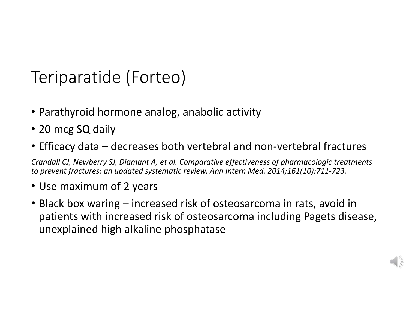# Teriparatide (Forteo)

- Parathyroid hormone analog, anabolic activity
- 20 mcg SQ daily
- Efficacy data decreases both vertebral and non‐vertebral fractures

*Crandall CJ, Newberry SJ, Diamant A, et al. Comparative effectiveness of pharmacologic treatments to prevent fractures: an updated systematic review. Ann Intern Med. 2014;161(10):711‐723.* 

- Use maximum of 2 years
- Black box waring increased risk of osteosarcoma in rats, avoid in patients with increased risk of osteosarcoma including Pagets disease, unexplained high alkaline phosphatase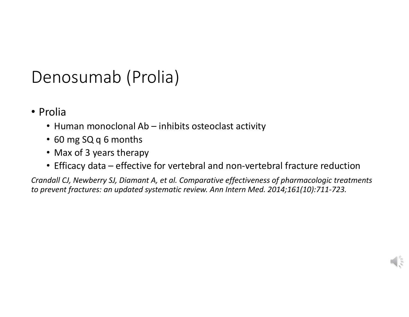# Denosumab (Prolia)

- Prolia
	- Human monoclonal Ab inhibits osteoclast activity
	- 60 mg SQ q 6 months
	- Max of 3 years therapy
	- Efficacy data effective for vertebral and non‐vertebral fracture reduction

*Crandall CJ, Newberry SJ, Diamant A, et al. Comparative effectiveness of pharmacologic treatments to prevent fractures: an updated systematic review. Ann Intern Med. 2014;161(10):711‐723.*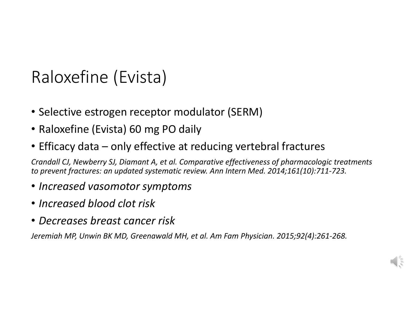# Raloxefine (Evista)

- Selective estrogen receptor modulator (SERM)
- Raloxefine (Evista) 60 mg PO daily
- Efficacy data only effective at reducing vertebral fractures

*Crandall CJ, Newberry SJ, Diamant A, et al. Comparative effectiveness of pharmacologic treatments to prevent fractures: an updated systematic review. Ann Intern Med. 2014;161(10):711‐723.* 

- *Increased vasomotor symptoms*
- *Increased blood clot risk*
- *Decreases breast cancer risk*

*Jeremiah MP, Unwin BK MD, Greenawald MH, et al. Am Fam Physician. 2015;92(4):261‐268.*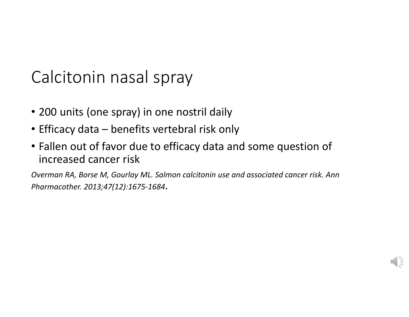## Calcitonin nasal spray

- 200 units (one spray) in one nostril daily
- Efficacy data benefits vertebral risk only
- Fallen out of favor due to efficacy data and some question of increased cancer risk

*Overman RA, Borse M, Gourlay ML. Salmon calcitonin use and associated cancer risk. Ann Pharmacother. 2013;47(12):1675‐1684*.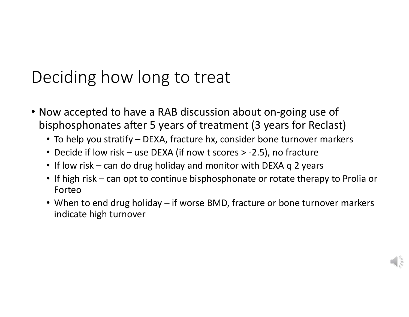# Deciding how long to treat

- Now accepted to have a RAB discussion about on-going use of bisphosphonates after 5 years of treatment (3 years for Reclast)
	- To help you stratify DEXA, fracture hx, consider bone turnover markers
	- Decide if low risk use DEXA (if now t scores > ‐2.5), no fracture
	- If low risk can do drug holiday and monitor with DEXA q 2 year s
	- If high risk can opt to continue bisphosphonate or rotate therapy to Prolia or Forteo
	- When to end drug holiday if worse BMD, fracture or bone turnover markers indicate high turnover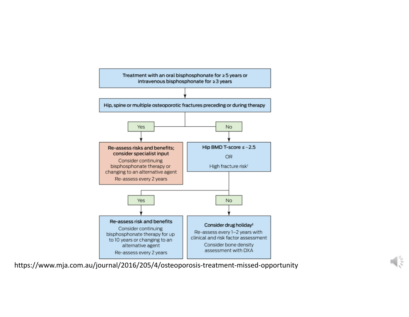

https://www.mja.com.au/journal/2016/205/4/osteoporosis‐treatment‐missed‐opportunity

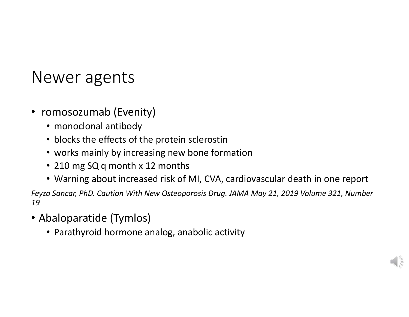#### Newer agents

- romosozumab (Evenity)
	- monoclonal antibody
	- blocks the effects of the protein sclerostin
	- works mainly by increasing new bone formation
	- 210 mg SQ q month x 12 months
	- Warning about increased risk of MI, CVA, cardiovascular death in one report

*Feyza Sancar, PhD. Caution With New Osteoporosis Drug. JAMA May 21, 2019 Volume 321, Number 19*

- Abaloparatide (Tymlos)
	- Parathyroid hormone analog, anabolic activity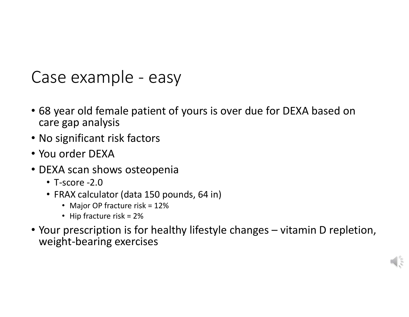#### Case example ‐ easy

- 68 year old female patient of yours is over due for DEXA based on care gap analysis
- No significant risk factors
- You order DEXA
- DEXA scan shows osteopenia
	- T‐score ‐2.0
	- FRAX calculator (data 150 pounds, 64 in)
		- Major OP fracture risk = 12%
		- Hip fracture risk = 2%
- Your prescription is for healthy lifestyle changes vitamin D repletion, weight‐bearing exercises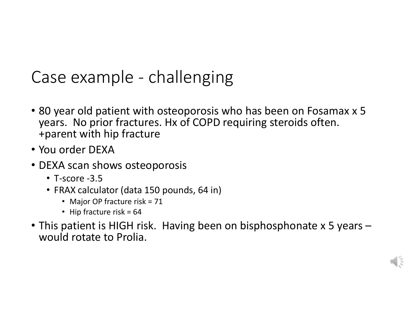# Case example ‐ challenging

- 80 year old patient with osteoporosis who has been on Fosamax x 5 years. No prior fractures. Hx of COPD requiring steroids often. +parent with hip fracture
- You order DEXA
- DEXA scan shows osteoporosis
	- T‐score ‐3.5
	- FRAX calculator (data 150 pounds, 64 in)
		- Major OP fracture risk = 71
		- Hip fracture risk = 64
- This patient is HIGH risk. Having been on bisphosphonate x 5 years would rotate to Prolia.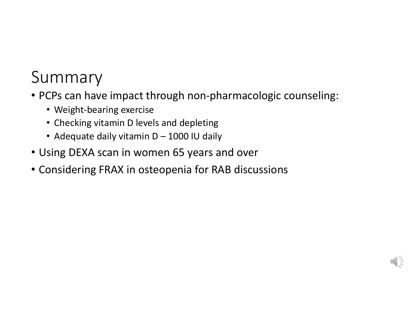#### Summary

- PCPs can have impact through non‐pharmacologic counseling:
	- Weight‐bearing exercise
	- Checking vitamin D levels and depleting
	- Adequate daily vitamin D 1000 IU daily
- Using DEXA scan in women 65 years and over
- Considering FRAX in osteopenia for RAB discussions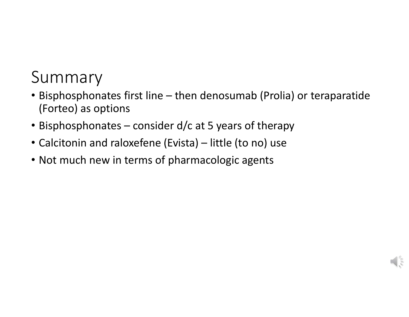#### Summary

- Bisphosphonates first line then denosumab (Prolia) or teraparatide (Forteo) as options
- Bisphosphonates consider d/c at 5 years of therapy
- Calcitonin and raloxefene (Evista) little (to no) use
- Not much new in terms of pharmacologic agents